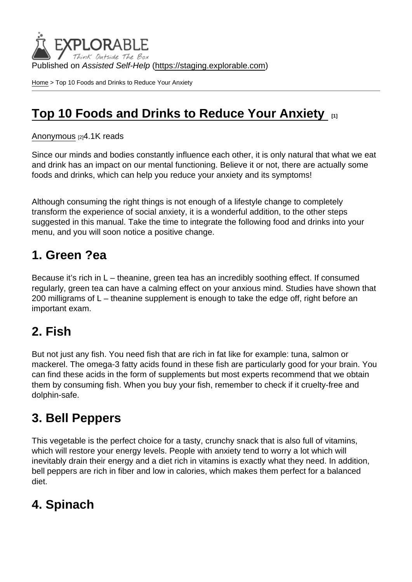Published on Assisted Self-Help [\(https://staging.explorable.com](https://staging.explorable.com))

[Home](https://staging.explorable.com/en) > Top 10 Foods and Drinks to Reduce Your Anxiety

## [Top 10 Foods and Drinks to Reduce Your Anxiety](https://staging.explorable.com/en/e/top-10-foods-and-drinks-to-reduce-your-anxiety)  $\qquad_{11}$

[Anonymous](https://staging.explorable.com/en/users/Liya Panayotova) [2]4.1K reads

Since our minds and bodies constantly influence each other, it is only natural that what we eat and drink has an impact on our mental functioning. Believe it or not, there are actually some foods and drinks, which can help you reduce your anxiety and its symptoms!

Although consuming the right things is not enough of a lifestyle change to completely transform the experience of social anxiety, it is a wonderful addition, to the other steps suggested in this manual. Take the time to integrate the following food and drinks into your menu, and you will soon notice a positive change.

### 1. Green ?ea

Because it's rich in L – theanine, green tea has an incredibly soothing effect. If consumed regularly, green tea can have a calming effect on your anxious mind. Studies have shown that 200 milligrams of L – theanine supplement is enough to take the edge off, right before an important exam.

### 2. Fish

But not just any fish. You need fish that are rich in fat like for example: tuna, salmon or mackerel. The omega-3 fatty acids found in these fish are particularly good for your brain. You can find these acids in the form of supplements but most experts recommend that we obtain them by consuming fish. When you buy your fish, remember to check if it cruelty-free and dolphin-safe.

## 3. Bell Peppers

This vegetable is the perfect choice for a tasty, crunchy snack that is also full of vitamins, which will restore your energy levels. People with anxiety tend to worry a lot which will inevitably drain their energy and a diet rich in vitamins is exactly what they need. In addition, bell peppers are rich in fiber and low in calories, which makes them perfect for a balanced diet.

### 4. Spinach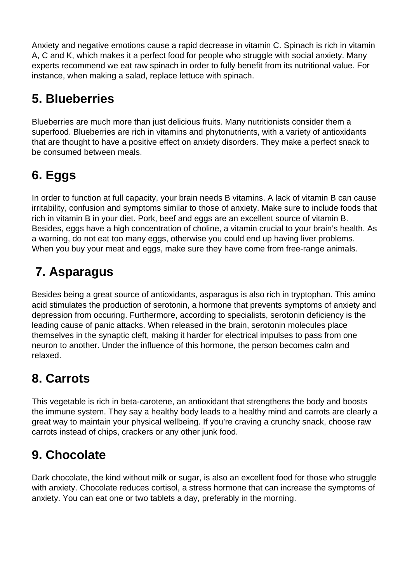Anxiety and negative emotions cause a rapid decrease in vitamin C. Spinach is rich in vitamin A, C and K, which makes it a perfect food for people who struggle with social anxiety. Many experts recommend we eat raw spinach in order to fully benefit from its nutritional value. For instance, when making a salad, replace lettuce with spinach.

# **5. Blueberries**

Blueberries are much more than just delicious fruits. Many nutritionists consider them a superfood. Blueberries are rich in vitamins and phytonutrients, with a variety of antioxidants that are thought to have a positive effect on anxiety disorders. They make a perfect snack to be consumed between meals.

# **6. Eggs**

In order to function at full capacity, your brain needs B vitamins. A lack of vitamin B can cause irritability, confusion and symptoms similar to those of anxiety. Make sure to include foods that rich in vitamin B in your diet. Pork, beef and eggs are an excellent source of vitamin B. Besides, eggs have a high concentration of choline, a vitamin crucial to your brain's health. As a warning, do not eat too many eggs, otherwise you could end up having liver problems. When you buy your meat and eggs, make sure they have come from free-range animals.

# **7. Asparagus**

Besides being a great source of antioxidants, asparagus is also rich in tryptophan. This amino acid stimulates the production of serotonin, a hormone that prevents symptoms of anxiety and depression from occuring. Furthermore, according to specialists, serotonin deficiency is the leading cause of panic attacks. When released in the brain, serotonin molecules place themselves in the synaptic cleft, making it harder for electrical impulses to pass from one neuron to another. Under the influence of this hormone, the person becomes calm and relaxed.

# **8. Carrots**

This vegetable is rich in beta-carotene, an antioxidant that strengthens the body and boosts the immune system. They say a healthy body leads to a healthy mind and carrots are clearly a great way to maintain your physical wellbeing. If you're craving a crunchy snack, choose raw carrots instead of chips, crackers or any other junk food.

# **9. Chocolate**

Dark chocolate, the kind without milk or sugar, is also an excellent food for those who struggle with anxiety. Chocolate reduces cortisol, a stress hormone that can increase the symptoms of anxiety. You can eat one or two tablets a day, preferably in the morning.